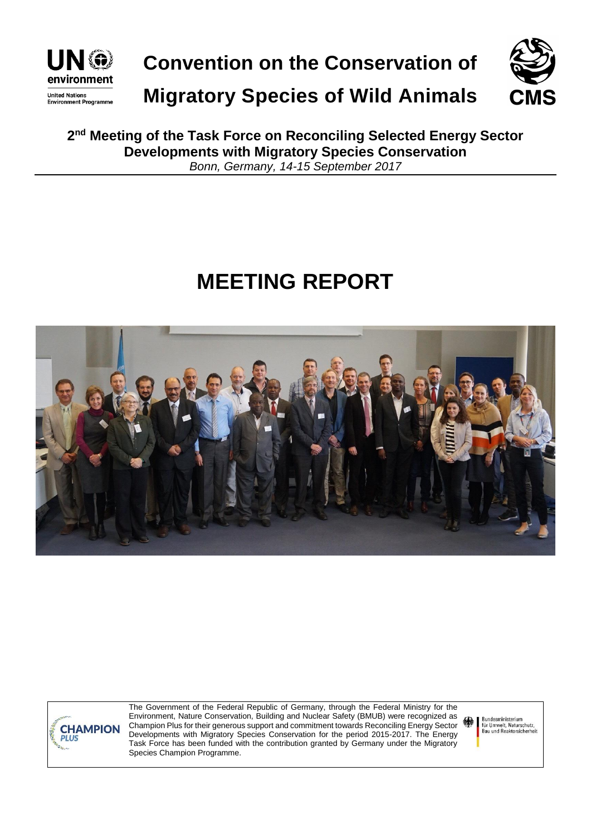

**Convention on the Conservation of**



**Migratory Species of Wild Animals**

**2 nd Meeting of the Task Force on Reconciling Selected Energy Sector Developments with Migratory Species Conservation** *Bonn, Germany, 14-15 September 2017*

# **MEETING REPORT**





The Government of the Federal Republic of Germany, through the Federal Ministry for the Environment, Nature Conservation, Building and Nuclear Safety (BMUB) were recognized as Champion Plus for their generous support and commitment towards Reconciling Energy Sector Developments with Migratory Species Conservation for the period 2015-2017. The Energy Task Force has been funded with the contribution granted by Germany under the Migratory Species Champion Programme.

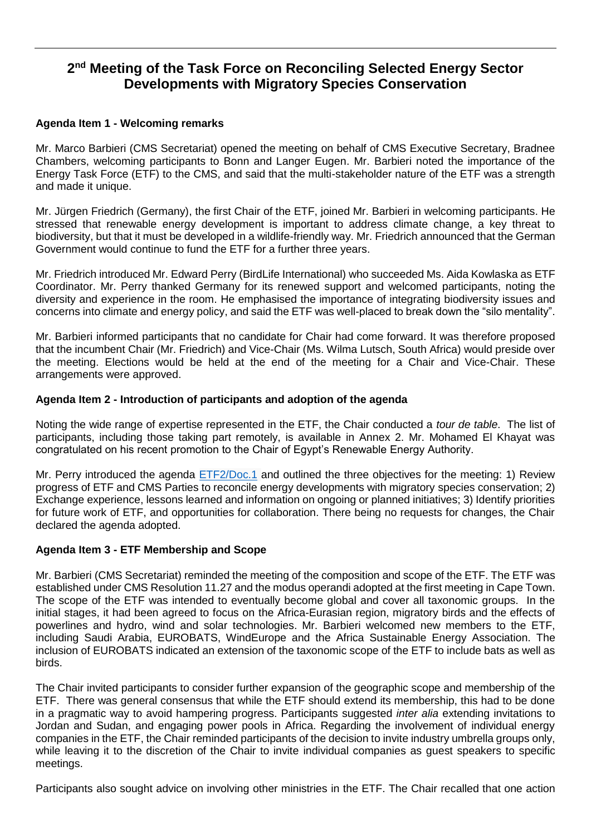# **2 nd Meeting of the Task Force on Reconciling Selected Energy Sector Developments with Migratory Species Conservation**

# **Agenda Item 1 - Welcoming remarks**

Mr. Marco Barbieri (CMS Secretariat) opened the meeting on behalf of CMS Executive Secretary, Bradnee Chambers, welcoming participants to Bonn and Langer Eugen. Mr. Barbieri noted the importance of the Energy Task Force (ETF) to the CMS, and said that the multi-stakeholder nature of the ETF was a strength and made it unique.

Mr. Jürgen Friedrich (Germany), the first Chair of the ETF, joined Mr. Barbieri in welcoming participants. He stressed that renewable energy development is important to address climate change, a key threat to biodiversity, but that it must be developed in a wildlife-friendly way. Mr. Friedrich announced that the German Government would continue to fund the ETF for a further three years.

Mr. Friedrich introduced Mr. Edward Perry (BirdLife International) who succeeded Ms. Aida Kowlaska as ETF Coordinator. Mr. Perry thanked Germany for its renewed support and welcomed participants, noting the diversity and experience in the room. He emphasised the importance of integrating biodiversity issues and concerns into climate and energy policy, and said the ETF was well-placed to break down the "silo mentality".

Mr. Barbieri informed participants that no candidate for Chair had come forward. It was therefore proposed that the incumbent Chair (Mr. Friedrich) and Vice-Chair (Ms. Wilma Lutsch, South Africa) would preside over the meeting. Elections would be held at the end of the meeting for a Chair and Vice-Chair. These arrangements were approved.

# **Agenda Item 2 - Introduction of participants and adoption of the agenda**

Noting the wide range of expertise represented in the ETF, the Chair conducted a *tour de table*. The list of participants, including those taking part remotely, is available in Annex 2. Mr. Mohamed El Khayat was congratulated on his recent promotion to the Chair of Egypt's Renewable Energy Authority.

Mr. Perry introduced the agenda [ETF2/Doc.1](http://www.cms.int/sites/default/files/document/ETF2_Doc1_Rev1_Provisional-Annotated-Agenda_0.pdf) and outlined the three objectives for the meeting: 1) Review progress of ETF and CMS Parties to reconcile energy developments with migratory species conservation; 2) Exchange experience, lessons learned and information on ongoing or planned initiatives; 3) Identify priorities for future work of ETF, and opportunities for collaboration. There being no requests for changes, the Chair declared the agenda adopted.

#### **Agenda Item 3 - ETF Membership and Scope**

Mr. Barbieri (CMS Secretariat) reminded the meeting of the composition and scope of the ETF. The ETF was established under CMS Resolution 11.27 and the modus operandi adopted at the first meeting in Cape Town. The scope of the ETF was intended to eventually become global and cover all taxonomic groups. In the initial stages, it had been agreed to focus on the Africa-Eurasian region, migratory birds and the effects of powerlines and hydro, wind and solar technologies. Mr. Barbieri welcomed new members to the ETF, including Saudi Arabia, EUROBATS, WindEurope and the Africa Sustainable Energy Association. The inclusion of EUROBATS indicated an extension of the taxonomic scope of the ETF to include bats as well as birds.

The Chair invited participants to consider further expansion of the geographic scope and membership of the ETF. There was general consensus that while the ETF should extend its membership, this had to be done in a pragmatic way to avoid hampering progress. Participants suggested *inter alia* extending invitations to Jordan and Sudan, and engaging power pools in Africa. Regarding the involvement of individual energy companies in the ETF, the Chair reminded participants of the decision to invite industry umbrella groups only, while leaving it to the discretion of the Chair to invite individual companies as guest speakers to specific meetings.

Participants also sought advice on involving other ministries in the ETF. The Chair recalled that one action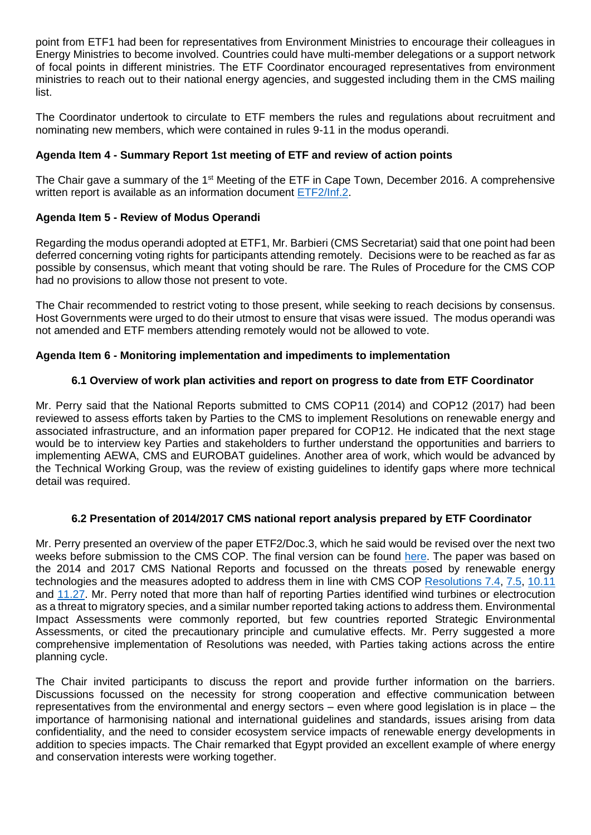point from ETF1 had been for representatives from Environment Ministries to encourage their colleagues in Energy Ministries to become involved. Countries could have multi-member delegations or a support network of focal points in different ministries. The ETF Coordinator encouraged representatives from environment ministries to reach out to their national energy agencies, and suggested including them in the CMS mailing list.

The Coordinator undertook to circulate to ETF members the rules and regulations about recruitment and nominating new members, which were contained in rules 9-11 in the modus operandi.

# **Agenda Item 4 - Summary Report 1st meeting of ETF and review of action points**

The Chair gave a summary of the 1<sup>st</sup> Meeting of the ETF in Cape Town, December 2016. A comprehensive written report is available as an information document [ETF2/Inf.2.](http://www.cms.int/sites/default/files/document/CMS_ETF2_Inf2_ETF1-Meeting-Report_Final.pdf)

# **Agenda Item 5 - Review of Modus Operandi**

Regarding the modus operandi adopted at ETF1, Mr. Barbieri (CMS Secretariat) said that one point had been deferred concerning voting rights for participants attending remotely. Decisions were to be reached as far as possible by consensus, which meant that voting should be rare. The Rules of Procedure for the CMS COP had no provisions to allow those not present to vote.

The Chair recommended to restrict voting to those present, while seeking to reach decisions by consensus. Host Governments were urged to do their utmost to ensure that visas were issued. The modus operandi was not amended and ETF members attending remotely would not be allowed to vote.

#### **Agenda Item 6 - Monitoring implementation and impediments to implementation**

# **6.1 Overview of work plan activities and report on progress to date from ETF Coordinator**

Mr. Perry said that the National Reports submitted to CMS COP11 (2014) and COP12 (2017) had been reviewed to assess efforts taken by Parties to the CMS to implement Resolutions on renewable energy and associated infrastructure, and an information paper prepared for COP12. He indicated that the next stage would be to interview key Parties and stakeholders to further understand the opportunities and barriers to implementing AEWA, CMS and EUROBAT guidelines. Another area of work, which would be advanced by the Technical Working Group, was the review of existing guidelines to identify gaps where more technical detail was required.

#### **6.2 Presentation of 2014/2017 CMS national report analysis prepared by ETF Coordinator**

Mr. Perry presented an overview of the paper ETF2/Doc.3, which he said would be revised over the next two weeks before submission to the CMS COP. The final version can be found [here.](http://www.cms.int/sites/default/files/document/cms_cop12_inf.32_information-paper-cms-report-analysis_e.pdf) The paper was based on the 2014 and 2017 CMS National Reports and focussed on the threats posed by renewable energy technologies and the measures adopted to address them in line with CMS COP [Resolutions 7.4,](http://www.cms.int/sites/default/files/document/RES_7_04_Electrocution_0_0.pdf) [7.5,](http://www.cms.int/sites/default/files/document/RES_7_05_Wind_Turbine_0_0.pdf) [10.11](http://www.cms.int/sites/default/files/document/10_11_powerlines_e_1_0.pdf) and [11.27.](http://www.cms.int/sites/default/files/document/Res_11_27_Renewable_Energy_E.pdf) Mr. Perry noted that more than half of reporting Parties identified wind turbines or electrocution as a threat to migratory species, and a similar number reported taking actions to address them. Environmental Impact Assessments were commonly reported, but few countries reported Strategic Environmental Assessments, or cited the precautionary principle and cumulative effects. Mr. Perry suggested a more comprehensive implementation of Resolutions was needed, with Parties taking actions across the entire planning cycle.

The Chair invited participants to discuss the report and provide further information on the barriers. Discussions focussed on the necessity for strong cooperation and effective communication between representatives from the environmental and energy sectors – even where good legislation is in place – the importance of harmonising national and international guidelines and standards, issues arising from data confidentiality, and the need to consider ecosystem service impacts of renewable energy developments in addition to species impacts. The Chair remarked that Egypt provided an excellent example of where energy and conservation interests were working together.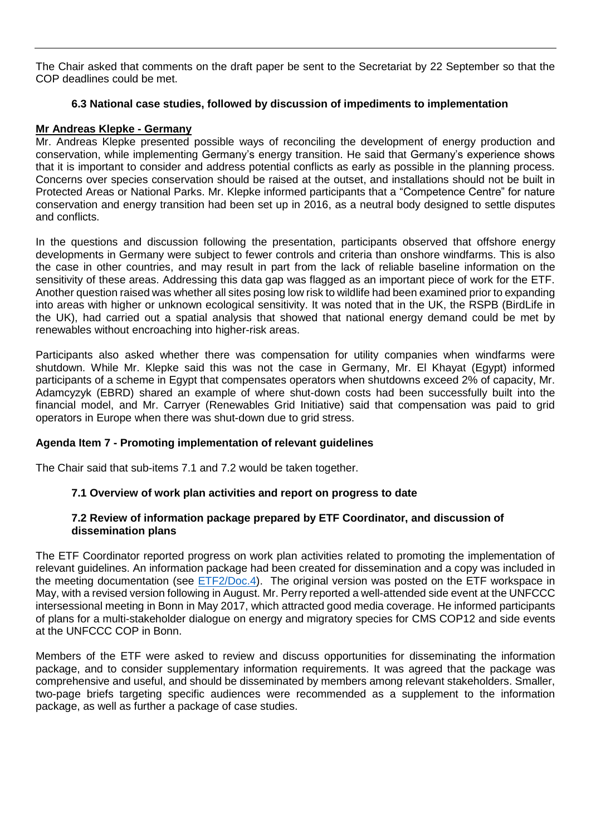The Chair asked that comments on the draft paper be sent to the Secretariat by 22 September so that the COP deadlines could be met.

### **6.3 National case studies, followed by discussion of impediments to implementation**

# **Mr Andreas Klepke - Germany**

Mr. Andreas Klepke presented possible ways of reconciling the development of energy production and conservation, while implementing Germany's energy transition. He said that Germany's experience shows that it is important to consider and address potential conflicts as early as possible in the planning process. Concerns over species conservation should be raised at the outset, and installations should not be built in Protected Areas or National Parks. Mr. Klepke informed participants that a "Competence Centre" for nature conservation and energy transition had been set up in 2016, as a neutral body designed to settle disputes and conflicts.

In the questions and discussion following the presentation, participants observed that offshore energy developments in Germany were subject to fewer controls and criteria than onshore windfarms. This is also the case in other countries, and may result in part from the lack of reliable baseline information on the sensitivity of these areas. Addressing this data gap was flagged as an important piece of work for the ETF. Another question raised was whether all sites posing low risk to wildlife had been examined prior to expanding into areas with higher or unknown ecological sensitivity. It was noted that in the UK, the RSPB (BirdLife in the UK), had carried out a spatial analysis that showed that national energy demand could be met by renewables without encroaching into higher-risk areas.

Participants also asked whether there was compensation for utility companies when windfarms were shutdown. While Mr. Klepke said this was not the case in Germany, Mr. El Khayat (Egypt) informed participants of a scheme in Egypt that compensates operators when shutdowns exceed 2% of capacity, Mr. Adamcyzyk (EBRD) shared an example of where shut-down costs had been successfully built into the financial model, and Mr. Carryer (Renewables Grid Initiative) said that compensation was paid to grid operators in Europe when there was shut-down due to grid stress.

#### **Agenda Item 7 - Promoting implementation of relevant guidelines**

The Chair said that sub-items 7.1 and 7.2 would be taken together.

# **7.1 Overview of work plan activities and report on progress to date**

# **7.2 Review of information package prepared by ETF Coordinator, and discussion of dissemination plans**

The ETF Coordinator reported progress on work plan activities related to promoting the implementation of relevant guidelines. An information package had been created for dissemination and a copy was included in the meeting documentation (see [ETF2/Doc.4\)](http://www.cms.int/sites/default/files/document/ETF2_Doc4_Draft%20Information%20Package.pdf). The original version was posted on the ETF workspace in May, with a revised version following in August. Mr. Perry reported a well-attended side event at the UNFCCC intersessional meeting in Bonn in May 2017, which attracted good media coverage. He informed participants of plans for a multi-stakeholder dialogue on energy and migratory species for CMS COP12 and side events at the UNFCCC COP in Bonn.

Members of the ETF were asked to review and discuss opportunities for disseminating the information package, and to consider supplementary information requirements. It was agreed that the package was comprehensive and useful, and should be disseminated by members among relevant stakeholders. Smaller, two-page briefs targeting specific audiences were recommended as a supplement to the information package, as well as further a package of case studies.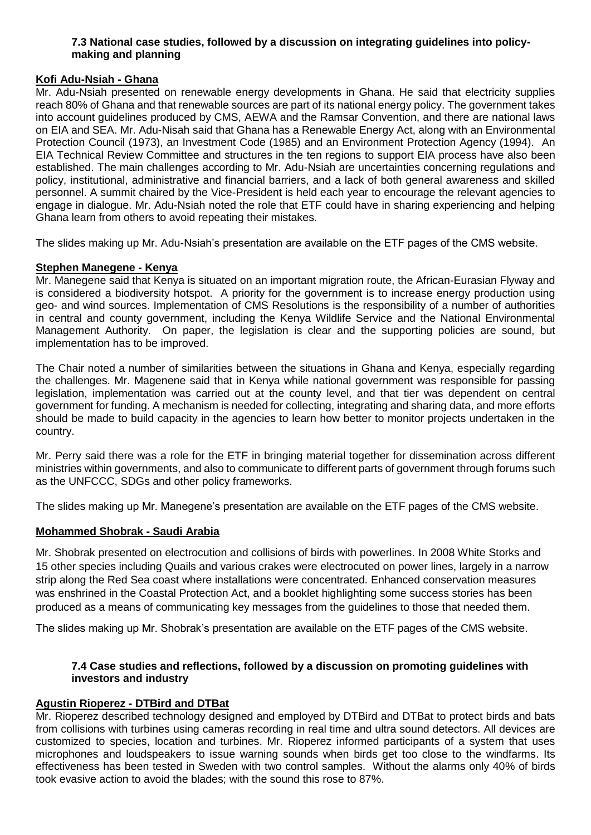# **7.3 National case studies, followed by a discussion on integrating guidelines into policymaking and planning**

# **Kofi Adu-Nsiah - Ghana**

Mr. Adu-Nsiah presented on renewable energy developments in Ghana. He said that electricity supplies reach 80% of Ghana and that renewable sources are part of its national energy policy. The government takes into account guidelines produced by CMS, AEWA and the Ramsar Convention, and there are national laws on EIA and SEA. Mr. Adu-Nisah said that Ghana has a Renewable Energy Act, along with an Environmental Protection Council (1973), an Investment Code (1985) and an Environment Protection Agency (1994). An EIA Technical Review Committee and structures in the ten regions to support EIA process have also been established. The main challenges according to Mr. Adu-Nsiah are uncertainties concerning regulations and policy, institutional, administrative and financial barriers, and a lack of both general awareness and skilled personnel. A summit chaired by the Vice-President is held each year to encourage the relevant agencies to engage in dialogue. Mr. Adu-Nsiah noted the role that ETF could have in sharing experiencing and helping Ghana learn from others to avoid repeating their mistakes.

The slides making up Mr. Adu-Nsiah's presentation are available on the ETF pages of the CMS website.

# **Stephen Manegene - Kenya**

Mr. Manegene said that Kenya is situated on an important migration route, the African-Eurasian Flyway and is considered a biodiversity hotspot. A priority for the government is to increase energy production using geo- and wind sources. Implementation of CMS Resolutions is the responsibility of a number of authorities in central and county government, including the Kenya Wildlife Service and the National Environmental Management Authority. On paper, the legislation is clear and the supporting policies are sound, but implementation has to be improved.

The Chair noted a number of similarities between the situations in Ghana and Kenya, especially regarding the challenges. Mr. Magenene said that in Kenya while national government was responsible for passing legislation, implementation was carried out at the county level, and that tier was dependent on central government for funding. A mechanism is needed for collecting, integrating and sharing data, and more efforts should be made to build capacity in the agencies to learn how better to monitor projects undertaken in the country.

Mr. Perry said there was a role for the ETF in bringing material together for dissemination across different ministries within governments, and also to communicate to different parts of government through forums such as the UNFCCC, SDGs and other policy frameworks.

The slides making up Mr. Manegene's presentation are available on the ETF pages of the CMS website.

#### **Mohammed Shobrak - Saudi Arabia**

Mr. Shobrak presented on electrocution and collisions of birds with powerlines. In 2008 White Storks and 15 other species including Quails and various crakes were electrocuted on power lines, largely in a narrow strip along the Red Sea coast where installations were concentrated. Enhanced conservation measures was enshrined in the Coastal Protection Act, and a booklet highlighting some success stories has been produced as a means of communicating key messages from the guidelines to those that needed them.

The slides making up Mr. Shobrak's presentation are available on the ETF pages of the CMS website.

# **7.4 Case studies and reflections, followed by a discussion on promoting guidelines with investors and industry**

#### **Agustin Rioperez - DTBird and DTBat**

Mr. Rioperez described technology designed and employed by DTBird and DTBat to protect birds and bats from collisions with turbines using cameras recording in real time and ultra sound detectors. All devices are customized to species, location and turbines. Mr. Rioperez informed participants of a system that uses microphones and loudspeakers to issue warning sounds when birds get too close to the windfarms. Its effectiveness has been tested in Sweden with two control samples. Without the alarms only 40% of birds took evasive action to avoid the blades; with the sound this rose to 87%.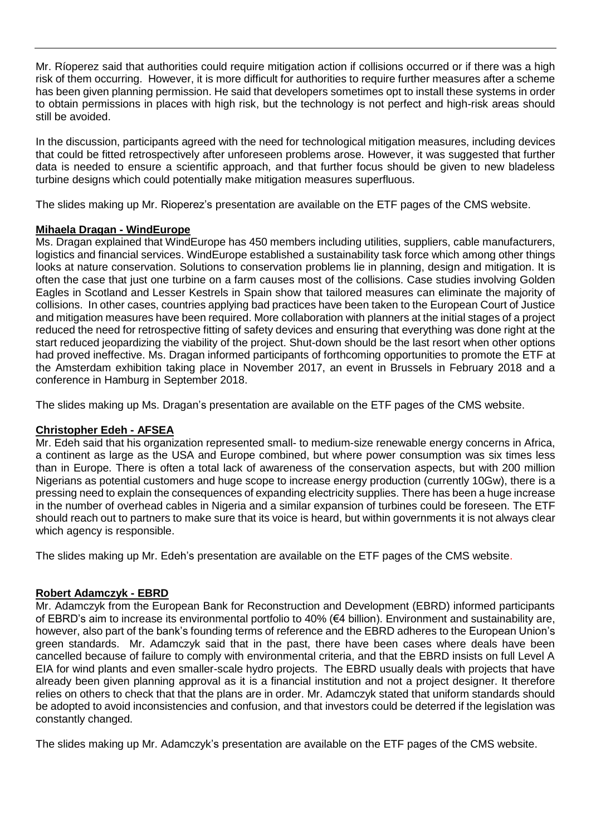Mr. Ríoperez said that authorities could require mitigation action if collisions occurred or if there was a high risk of them occurring. However, it is more difficult for authorities to require further measures after a scheme has been given planning permission. He said that developers sometimes opt to install these systems in order to obtain permissions in places with high risk, but the technology is not perfect and high-risk areas should still be avoided.

In the discussion, participants agreed with the need for technological mitigation measures, including devices that could be fitted retrospectively after unforeseen problems arose. However, it was suggested that further data is needed to ensure a scientific approach, and that further focus should be given to new bladeless turbine designs which could potentially make mitigation measures superfluous.

The slides making up Mr. Rioperez's presentation are available on the ETF pages of the CMS website.

# **Mihaela Dragan - WindEurope**

Ms. Dragan explained that WindEurope has 450 members including utilities, suppliers, cable manufacturers, logistics and financial services. WindEurope established a sustainability task force which among other things looks at nature conservation. Solutions to conservation problems lie in planning, design and mitigation. It is often the case that just one turbine on a farm causes most of the collisions. Case studies involving Golden Eagles in Scotland and Lesser Kestrels in Spain show that tailored measures can eliminate the majority of collisions. In other cases, countries applying bad practices have been taken to the European Court of Justice and mitigation measures have been required. More collaboration with planners at the initial stages of a project reduced the need for retrospective fitting of safety devices and ensuring that everything was done right at the start reduced jeopardizing the viability of the project. Shut-down should be the last resort when other options had proved ineffective. Ms. Dragan informed participants of forthcoming opportunities to promote the ETF at the Amsterdam exhibition taking place in November 2017, an event in Brussels in February 2018 and a conference in Hamburg in September 2018.

The slides making up Ms. Dragan's presentation are available on the ETF pages of the CMS website.

# **Christopher Edeh - AFSEA**

Mr. Edeh said that his organization represented small- to medium-size renewable energy concerns in Africa, a continent as large as the USA and Europe combined, but where power consumption was six times less than in Europe. There is often a total lack of awareness of the conservation aspects, but with 200 million Nigerians as potential customers and huge scope to increase energy production (currently 10Gw), there is a pressing need to explain the consequences of expanding electricity supplies. There has been a huge increase in the number of overhead cables in Nigeria and a similar expansion of turbines could be foreseen. The ETF should reach out to partners to make sure that its voice is heard, but within governments it is not always clear which agency is responsible.

The slides making up Mr. Edeh's presentation are available on the ETF pages of the CMS website.

# **Robert Adamczyk - EBRD**

Mr. Adamczyk from the European Bank for Reconstruction and Development (EBRD) informed participants of EBRD's aim to increase its environmental portfolio to 40% (€4 billion). Environment and sustainability are, however, also part of the bank's founding terms of reference and the EBRD adheres to the European Union's green standards. Mr. Adamczyk said that in the past, there have been cases where deals have been cancelled because of failure to comply with environmental criteria, and that the EBRD insists on full Level A EIA for wind plants and even smaller-scale hydro projects. The EBRD usually deals with projects that have already been given planning approval as it is a financial institution and not a project designer. It therefore relies on others to check that that the plans are in order. Mr. Adamczyk stated that uniform standards should be adopted to avoid inconsistencies and confusion, and that investors could be deterred if the legislation was constantly changed.

The slides making up Mr. Adamczyk's presentation are available on the ETF pages of the CMS website.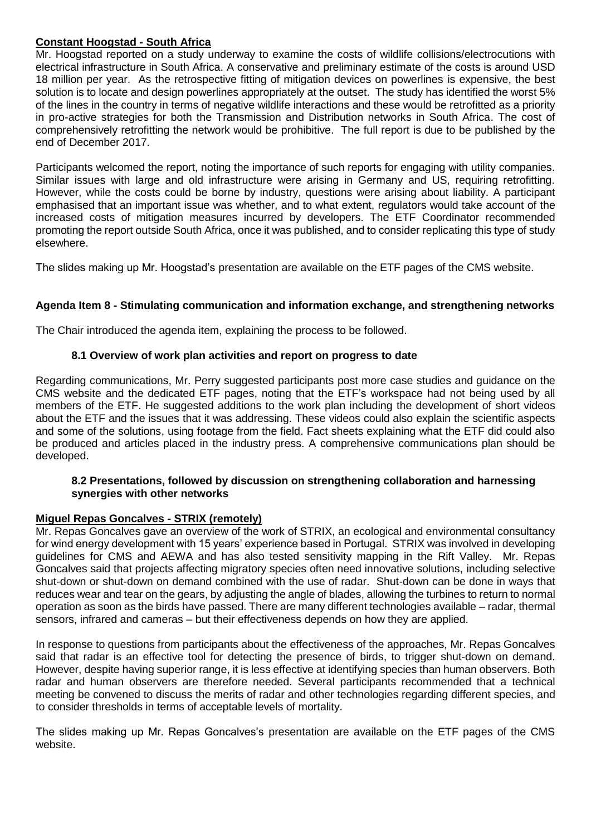# **Constant Hoogstad - South Africa**

Mr. Hoogstad reported on a study underway to examine the costs of wildlife collisions/electrocutions with electrical infrastructure in South Africa. A conservative and preliminary estimate of the costs is around USD 18 million per year. As the retrospective fitting of mitigation devices on powerlines is expensive, the best solution is to locate and design powerlines appropriately at the outset. The study has identified the worst 5% of the lines in the country in terms of negative wildlife interactions and these would be retrofitted as a priority in pro-active strategies for both the Transmission and Distribution networks in South Africa. The cost of comprehensively retrofitting the network would be prohibitive. The full report is due to be published by the end of December 2017.

Participants welcomed the report, noting the importance of such reports for engaging with utility companies. Similar issues with large and old infrastructure were arising in Germany and US, requiring retrofitting. However, while the costs could be borne by industry, questions were arising about liability. A participant emphasised that an important issue was whether, and to what extent, regulators would take account of the increased costs of mitigation measures incurred by developers. The ETF Coordinator recommended promoting the report outside South Africa, once it was published, and to consider replicating this type of study elsewhere.

The slides making up Mr. Hoogstad's presentation are available on the ETF pages of the CMS website.

# **Agenda Item 8 - Stimulating communication and information exchange, and strengthening networks**

The Chair introduced the agenda item, explaining the process to be followed.

#### **8.1 Overview of work plan activities and report on progress to date**

Regarding communications, Mr. Perry suggested participants post more case studies and guidance on the CMS website and the dedicated ETF pages, noting that the ETF's workspace had not being used by all members of the ETF. He suggested additions to the work plan including the development of short videos about the ETF and the issues that it was addressing. These videos could also explain the scientific aspects and some of the solutions, using footage from the field. Fact sheets explaining what the ETF did could also be produced and articles placed in the industry press. A comprehensive communications plan should be developed.

#### **8.2 Presentations, followed by discussion on strengthening collaboration and harnessing synergies with other networks**

#### **Miguel Repas Goncalves - STRIX (remotely)**

Mr. Repas Goncalves gave an overview of the work of STRIX, an ecological and environmental consultancy for wind energy development with 15 years' experience based in Portugal. STRIX was involved in developing guidelines for CMS and AEWA and has also tested sensitivity mapping in the Rift Valley. Mr. Repas Goncalves said that projects affecting migratory species often need innovative solutions, including selective shut-down or shut-down on demand combined with the use of radar. Shut-down can be done in ways that reduces wear and tear on the gears, by adjusting the angle of blades, allowing the turbines to return to normal operation as soon as the birds have passed. There are many different technologies available – radar, thermal sensors, infrared and cameras – but their effectiveness depends on how they are applied.

In response to questions from participants about the effectiveness of the approaches, Mr. Repas Goncalves said that radar is an effective tool for detecting the presence of birds, to trigger shut-down on demand. However, despite having superior range, it is less effective at identifying species than human observers. Both radar and human observers are therefore needed. Several participants recommended that a technical meeting be convened to discuss the merits of radar and other technologies regarding different species, and to consider thresholds in terms of acceptable levels of mortality.

The slides making up Mr. Repas Goncalves's presentation are available on the ETF pages of the CMS website.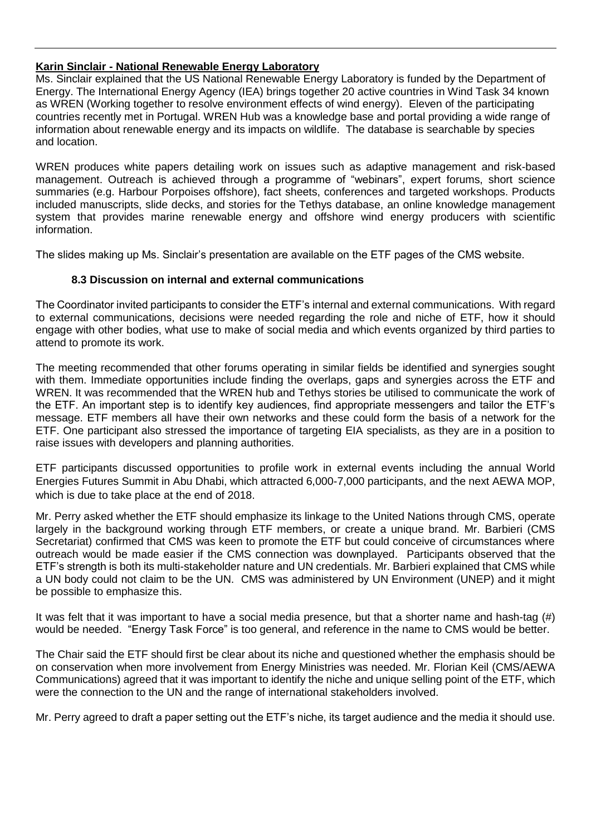### **Karin Sinclair - National Renewable Energy Laboratory**

Ms. Sinclair explained that the US National Renewable Energy Laboratory is funded by the Department of Energy. The International Energy Agency (IEA) brings together 20 active countries in Wind Task 34 known as WREN (Working together to resolve environment effects of wind energy). Eleven of the participating countries recently met in Portugal. WREN Hub was a knowledge base and portal providing a wide range of information about renewable energy and its impacts on wildlife. The database is searchable by species and location.

WREN produces white papers detailing work on issues such as adaptive management and risk-based management. Outreach is achieved through a programme of "webinars", expert forums, short science summaries (e.g. Harbour Porpoises offshore), fact sheets, conferences and targeted workshops. Products included manuscripts, slide decks, and stories for the Tethys database, an online knowledge management system that provides marine renewable energy and offshore wind energy producers with scientific information.

The slides making up Ms. Sinclair's presentation are available on the ETF pages of the CMS website.

# **8.3 Discussion on internal and external communications**

The Coordinator invited participants to consider the ETF's internal and external communications. With regard to external communications, decisions were needed regarding the role and niche of ETF, how it should engage with other bodies, what use to make of social media and which events organized by third parties to attend to promote its work.

The meeting recommended that other forums operating in similar fields be identified and synergies sought with them. Immediate opportunities include finding the overlaps, gaps and synergies across the ETF and WREN. It was recommended that the WREN hub and Tethys stories be utilised to communicate the work of the ETF. An important step is to identify key audiences, find appropriate messengers and tailor the ETF's message. ETF members all have their own networks and these could form the basis of a network for the ETF. One participant also stressed the importance of targeting EIA specialists, as they are in a position to raise issues with developers and planning authorities.

ETF participants discussed opportunities to profile work in external events including the annual World Energies Futures Summit in Abu Dhabi, which attracted 6,000-7,000 participants, and the next AEWA MOP, which is due to take place at the end of 2018.

Mr. Perry asked whether the ETF should emphasize its linkage to the United Nations through CMS, operate largely in the background working through ETF members, or create a unique brand. Mr. Barbieri (CMS Secretariat) confirmed that CMS was keen to promote the ETF but could conceive of circumstances where outreach would be made easier if the CMS connection was downplayed. Participants observed that the ETF's strength is both its multi-stakeholder nature and UN credentials. Mr. Barbieri explained that CMS while a UN body could not claim to be the UN. CMS was administered by UN Environment (UNEP) and it might be possible to emphasize this.

It was felt that it was important to have a social media presence, but that a shorter name and hash-tag (#) would be needed. "Energy Task Force" is too general, and reference in the name to CMS would be better.

The Chair said the ETF should first be clear about its niche and questioned whether the emphasis should be on conservation when more involvement from Energy Ministries was needed. Mr. Florian Keil (CMS/AEWA Communications) agreed that it was important to identify the niche and unique selling point of the ETF, which were the connection to the UN and the range of international stakeholders involved.

Mr. Perry agreed to draft a paper setting out the ETF's niche, its target audience and the media it should use.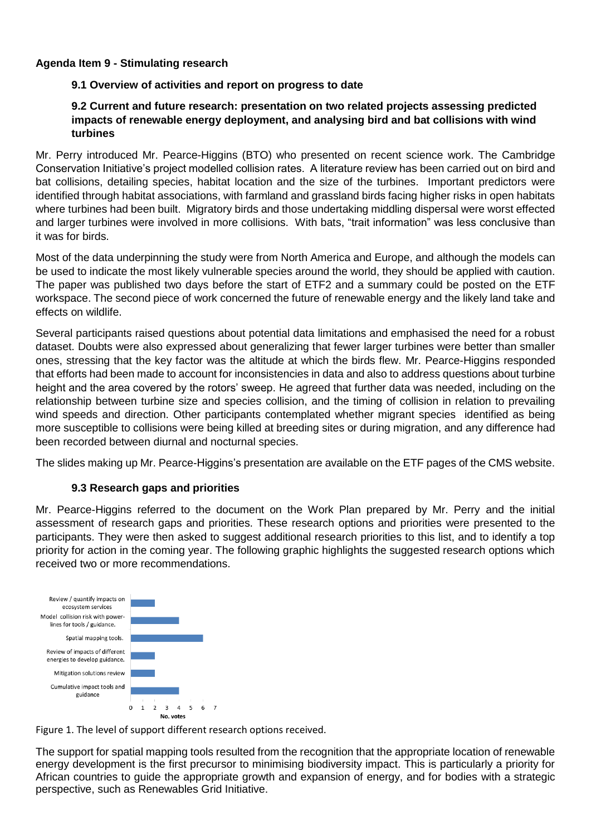# **Agenda Item 9 - Stimulating research**

# **9.1 Overview of activities and report on progress to date**

### **9.2 Current and future research: presentation on two related projects assessing predicted impacts of renewable energy deployment, and analysing bird and bat collisions with wind turbines**

Mr. Perry introduced Mr. Pearce-Higgins (BTO) who presented on recent science work. The Cambridge Conservation Initiative's project modelled collision rates. A literature review has been carried out on bird and bat collisions, detailing species, habitat location and the size of the turbines. Important predictors were identified through habitat associations, with farmland and grassland birds facing higher risks in open habitats where turbines had been built. Migratory birds and those undertaking middling dispersal were worst effected and larger turbines were involved in more collisions. With bats, "trait information" was less conclusive than it was for birds.

Most of the data underpinning the study were from North America and Europe, and although the models can be used to indicate the most likely vulnerable species around the world, they should be applied with caution. The paper was published two days before the start of ETF2 and a summary could be posted on the ETF workspace. The second piece of work concerned the future of renewable energy and the likely land take and effects on wildlife.

Several participants raised questions about potential data limitations and emphasised the need for a robust dataset. Doubts were also expressed about generalizing that fewer larger turbines were better than smaller ones, stressing that the key factor was the altitude at which the birds flew. Mr. Pearce-Higgins responded that efforts had been made to account for inconsistencies in data and also to address questions about turbine height and the area covered by the rotors' sweep. He agreed that further data was needed, including on the relationship between turbine size and species collision, and the timing of collision in relation to prevailing wind speeds and direction. Other participants contemplated whether migrant species identified as being more susceptible to collisions were being killed at breeding sites or during migration, and any difference had been recorded between diurnal and nocturnal species.

The slides making up Mr. Pearce-Higgins's presentation are available on the ETF pages of the CMS website.

#### **9.3 Research gaps and priorities**

Mr. Pearce-Higgins referred to the document on the Work Plan prepared by Mr. Perry and the initial assessment of research gaps and priorities. These research options and priorities were presented to the participants. They were then asked to suggest additional research priorities to this list, and to identify a top priority for action in the coming year. The following graphic highlights the suggested research options which received two or more recommendations.



Figure 1. The level of support different research options received.

The support for spatial mapping tools resulted from the recognition that the appropriate location of renewable energy development is the first precursor to minimising biodiversity impact. This is particularly a priority for African countries to guide the appropriate growth and expansion of energy, and for bodies with a strategic perspective, such as Renewables Grid Initiative.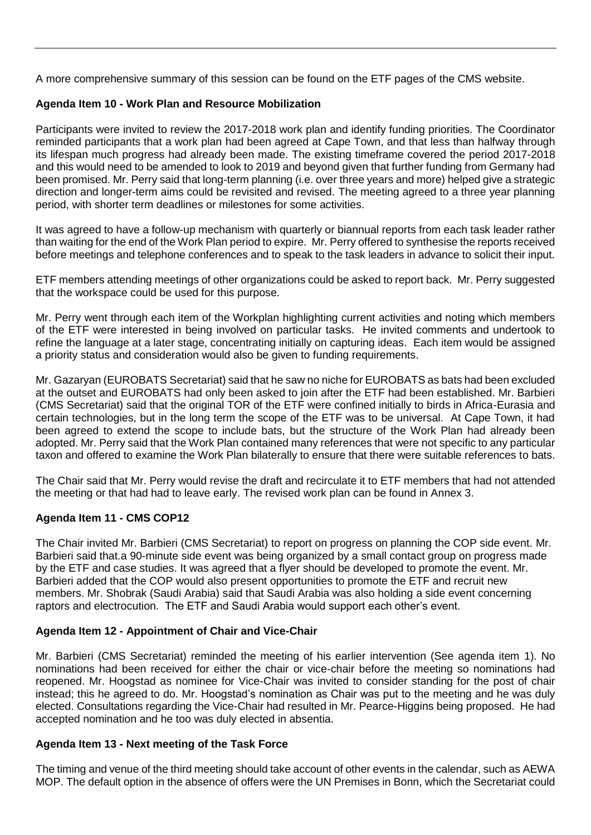A more comprehensive summary of this session can be found on the ETF pages of the CMS website.

# **Agenda Item 10 - Work Plan and Resource Mobilization**

Participants were invited to review the 2017-2018 work plan and identify funding priorities. The Coordinator reminded participants that a work plan had been agreed at Cape Town, and that less than halfway through its lifespan much progress had already been made. The existing timeframe covered the period 2017-2018 and this would need to be amended to look to 2019 and beyond given that further funding from Germany had been promised. Mr. Perry said that long-term planning (i.e. over three years and more) helped give a strategic direction and longer-term aims could be revisited and revised. The meeting agreed to a three year planning period, with shorter term deadlines or milestones for some activities.

It was agreed to have a follow-up mechanism with quarterly or biannual reports from each task leader rather than waiting for the end of the Work Plan period to expire. Mr. Perry offered to synthesise the reports received before meetings and telephone conferences and to speak to the task leaders in advance to solicit their input.

ETF members attending meetings of other organizations could be asked to report back. Mr. Perry suggested that the workspace could be used for this purpose.

Mr. Perry went through each item of the Workplan highlighting current activities and noting which members of the ETF were interested in being involved on particular tasks. He invited comments and undertook to refine the language at a later stage, concentrating initially on capturing ideas. Each item would be assigned a priority status and consideration would also be given to funding requirements.

Mr. Gazaryan (EUROBATS Secretariat) said that he saw no niche for EUROBATS as bats had been excluded at the outset and EUROBATS had only been asked to join after the ETF had been established. Mr. Barbieri (CMS Secretariat) said that the original TOR of the ETF were confined initially to birds in Africa-Eurasia and certain technologies, but in the long term the scope of the ETF was to be universal. At Cape Town, it had been agreed to extend the scope to include bats, but the structure of the Work Plan had already been adopted. Mr. Perry said that the Work Plan contained many references that were not specific to any particular taxon and offered to examine the Work Plan bilaterally to ensure that there were suitable references to bats.

The Chair said that Mr. Perry would revise the draft and recirculate it to ETF members that had not attended the meeting or that had had to leave early. The revised work plan can be found in Annex 3.

#### **Agenda Item 11 - CMS COP12**

The Chair invited Mr. Barbieri (CMS Secretariat) to report on progress on planning the COP side event. Mr. Barbieri said that.a 90-minute side event was being organized by a small contact group on progress made by the ETF and case studies. It was agreed that a flyer should be developed to promote the event. Mr. Barbieri added that the COP would also present opportunities to promote the ETF and recruit new members. Mr. Shobrak (Saudi Arabia) said that Saudi Arabia was also holding a side event concerning raptors and electrocution. The ETF and Saudi Arabia would support each other's event.

#### **Agenda Item 12 - Appointment of Chair and Vice-Chair**

Mr. Barbieri (CMS Secretariat) reminded the meeting of his earlier intervention (See agenda item 1). No nominations had been received for either the chair or vice-chair before the meeting so nominations had reopened. Mr. Hoogstad as nominee for Vice-Chair was invited to consider standing for the post of chair instead; this he agreed to do. Mr. Hoogstad's nomination as Chair was put to the meeting and he was duly elected. Consultations regarding the Vice-Chair had resulted in Mr. Pearce-Higgins being proposed. He had accepted nomination and he too was duly elected in absentia.

#### **Agenda Item 13 - Next meeting of the Task Force**

The timing and venue of the third meeting should take account of other events in the calendar, such as AEWA MOP. The default option in the absence of offers were the UN Premises in Bonn, which the Secretariat could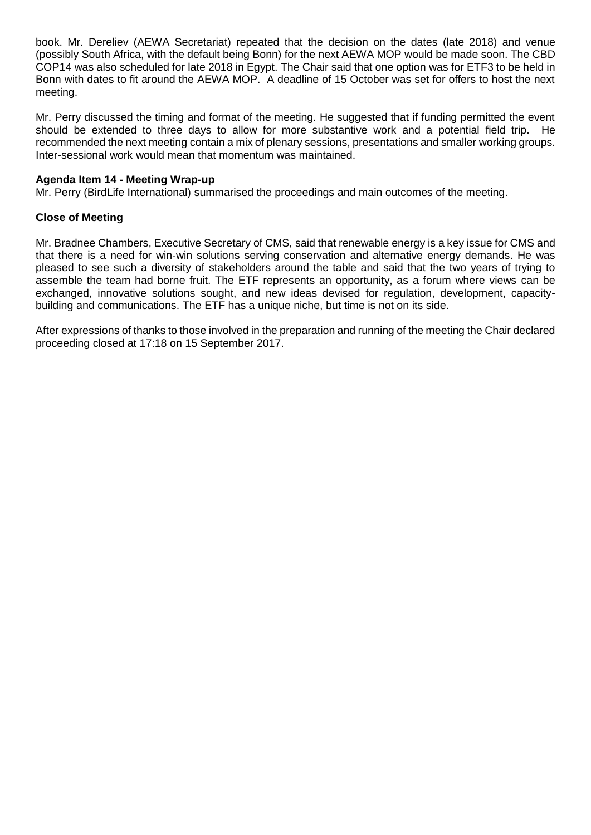book. Mr. Dereliev (AEWA Secretariat) repeated that the decision on the dates (late 2018) and venue (possibly South Africa, with the default being Bonn) for the next AEWA MOP would be made soon. The CBD COP14 was also scheduled for late 2018 in Egypt. The Chair said that one option was for ETF3 to be held in Bonn with dates to fit around the AEWA MOP. A deadline of 15 October was set for offers to host the next meeting.

Mr. Perry discussed the timing and format of the meeting. He suggested that if funding permitted the event should be extended to three days to allow for more substantive work and a potential field trip. He recommended the next meeting contain a mix of plenary sessions, presentations and smaller working groups. Inter-sessional work would mean that momentum was maintained.

#### **Agenda Item 14 - Meeting Wrap-up**

Mr. Perry (BirdLife International) summarised the proceedings and main outcomes of the meeting.

#### **Close of Meeting**

Mr. Bradnee Chambers, Executive Secretary of CMS, said that renewable energy is a key issue for CMS and that there is a need for win-win solutions serving conservation and alternative energy demands. He was pleased to see such a diversity of stakeholders around the table and said that the two years of trying to assemble the team had borne fruit. The ETF represents an opportunity, as a forum where views can be exchanged, innovative solutions sought, and new ideas devised for regulation, development, capacitybuilding and communications. The ETF has a unique niche, but time is not on its side.

After expressions of thanks to those involved in the preparation and running of the meeting the Chair declared proceeding closed at 17:18 on 15 September 2017.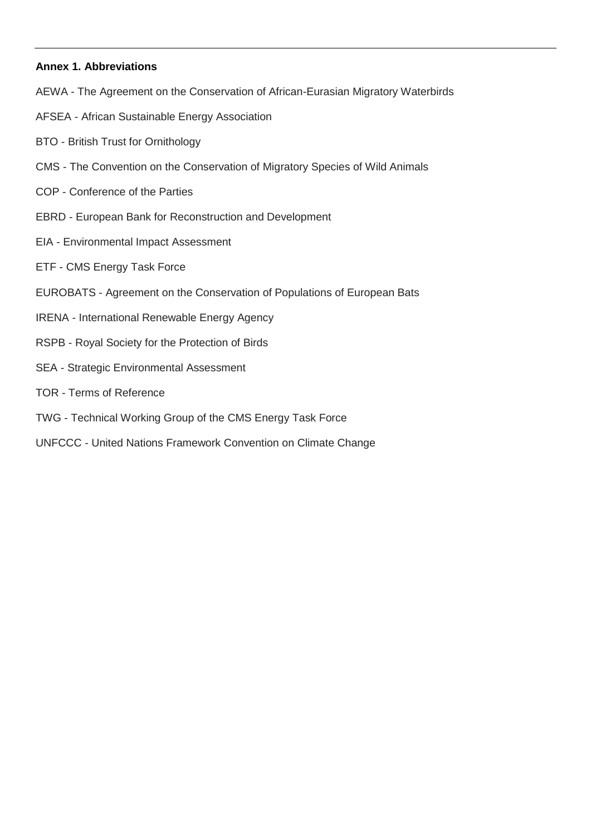#### **Annex 1. Abbreviations**

- AEWA The Agreement on the Conservation of African-Eurasian Migratory Waterbirds
- AFSEA African Sustainable Energy Association
- BTO British Trust for Ornithology
- CMS The Convention on the Conservation of Migratory Species of Wild Animals
- COP Conference of the Parties
- EBRD European Bank for Reconstruction and Development
- EIA Environmental Impact Assessment
- ETF CMS Energy Task Force
- EUROBATS Agreement on the Conservation of Populations of European Bats
- IRENA International Renewable Energy Agency
- RSPB Royal Society for the Protection of Birds
- SEA Strategic Environmental Assessment
- TOR Terms of Reference
- TWG Technical Working Group of the CMS Energy Task Force
- UNFCCC United Nations Framework Convention on Climate Change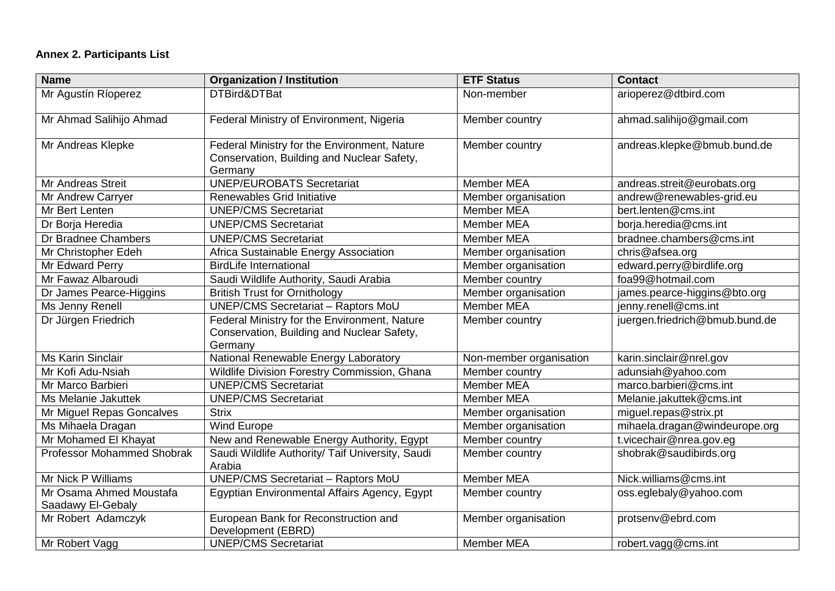# **Annex 2. Participants List**

| <b>Name</b>                                  | <b>Organization / Institution</b>                                                                     | <b>ETF Status</b>       | <b>Contact</b>                 |
|----------------------------------------------|-------------------------------------------------------------------------------------------------------|-------------------------|--------------------------------|
| Mr Agustín Ríoperez                          | DTBird&DTBat                                                                                          | Non-member              | arioperez@dtbird.com           |
| Mr Ahmad Salihijo Ahmad                      | Federal Ministry of Environment, Nigeria                                                              | Member country          | ahmad.salihijo@gmail.com       |
| Mr Andreas Klepke                            | Federal Ministry for the Environment, Nature<br>Conservation, Building and Nuclear Safety,<br>Germany | Member country          | andreas.klepke@bmub.bund.de    |
| <b>Mr Andreas Streit</b>                     | <b>UNEP/EUROBATS Secretariat</b>                                                                      | <b>Member MEA</b>       | andreas.streit@eurobats.org    |
| Mr Andrew Carryer                            | Renewables Grid Initiative                                                                            | Member organisation     | andrew@renewables-grid.eu      |
| Mr Bert Lenten                               | <b>UNEP/CMS Secretariat</b>                                                                           | <b>Member MEA</b>       | bert.lenten@cms.int            |
| Dr Borja Heredia                             | <b>UNEP/CMS Secretariat</b>                                                                           | Member MEA              | borja.heredia@cms.int          |
| Dr Bradnee Chambers                          | <b>UNEP/CMS</b> Secretariat                                                                           | <b>Member MEA</b>       | bradnee.chambers@cms.int       |
| Mr Christopher Edeh                          | Africa Sustainable Energy Association                                                                 | Member organisation     | chris@afsea.org                |
| Mr Edward Perry                              | <b>BirdLife International</b>                                                                         | Member organisation     | edward.perry@birdlife.org      |
| Mr Fawaz Albaroudi                           | Saudi Wildlife Authority, Saudi Arabia                                                                | Member country          | foa99@hotmail.com              |
| Dr James Pearce-Higgins                      | <b>British Trust for Ornithology</b>                                                                  | Member organisation     | james.pearce-higgins@bto.org   |
| Ms Jenny Renell                              | <b>UNEP/CMS Secretariat - Raptors MoU</b>                                                             | Member MEA              | jenny.renell@cms.int           |
| Dr Jürgen Friedrich                          | Federal Ministry for the Environment, Nature<br>Conservation, Building and Nuclear Safety,<br>Germany | Member country          | juergen.friedrich@bmub.bund.de |
| <b>Ms Karin Sinclair</b>                     | National Renewable Energy Laboratory                                                                  | Non-member organisation | karin.sinclair@nrel.gov        |
| Mr Kofi Adu-Nsiah                            | Wildlife Division Forestry Commission, Ghana                                                          | Member country          | adunsiah@yahoo.com             |
| Mr Marco Barbieri                            | <b>UNEP/CMS Secretariat</b>                                                                           | Member MEA              | marco.barbieri@cms.int         |
| Ms Melanie Jakuttek                          | <b>UNEP/CMS Secretariat</b>                                                                           | <b>Member MEA</b>       | Melanie.jakuttek@cms.int       |
| Mr Miguel Repas Goncalves                    | <b>Strix</b>                                                                                          | Member organisation     | miguel.repas@strix.pt          |
| Ms Mihaela Dragan                            | Wind Europe                                                                                           | Member organisation     | mihaela.dragan@windeurope.org  |
| Mr Mohamed El Khayat                         | New and Renewable Energy Authority, Egypt                                                             | Member country          | t.vicechair@nrea.gov.eg        |
| <b>Professor Mohammed Shobrak</b>            | Saudi Wildlife Authority/ Taif University, Saudi<br>Arabia                                            | Member country          | shobrak@saudibirds.org         |
| Mr Nick P Williams                           | <b>UNEP/CMS Secretariat - Raptors MoU</b>                                                             | <b>Member MEA</b>       | Nick.williams@cms.int          |
| Mr Osama Ahmed Moustafa<br>Saadawy El-Gebaly | Egyptian Environmental Affairs Agency, Egypt                                                          | Member country          | oss.eglebaly@yahoo.com         |
| Mr Robert Adamczyk                           | European Bank for Reconstruction and<br>Development (EBRD)                                            | Member organisation     | protsenv@ebrd.com              |
| Mr Robert Vagg                               | <b>UNEP/CMS Secretariat</b>                                                                           | Member MEA              | robert.vagg@cms.int            |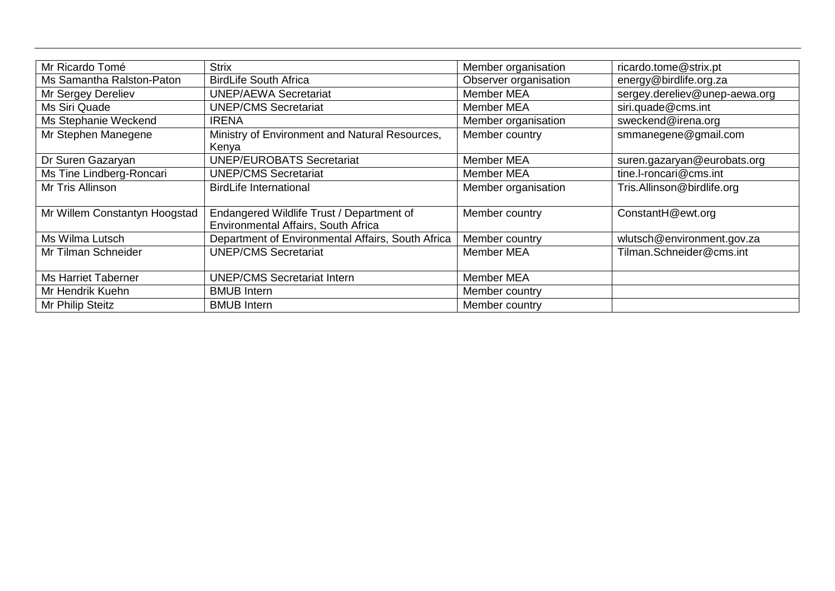| Mr Ricardo Tomé               | <b>Strix</b>                                      | Member organisation   | ricardo.tome@strix.pt         |
|-------------------------------|---------------------------------------------------|-----------------------|-------------------------------|
| Ms Samantha Ralston-Paton     | <b>BirdLife South Africa</b>                      | Observer organisation | energy@birdlife.org.za        |
| Mr Sergey Dereliev            | <b>UNEP/AEWA Secretariat</b>                      | <b>Member MEA</b>     | sergey.dereliev@unep-aewa.org |
| Ms Siri Quade                 | <b>UNEP/CMS Secretariat</b>                       | <b>Member MEA</b>     | siri.quade@cms.int            |
| Ms Stephanie Weckend          | <b>IRENA</b>                                      | Member organisation   | sweckend@irena.org            |
| Mr Stephen Manegene           | Ministry of Environment and Natural Resources,    | Member country        | smmanegene@gmail.com          |
|                               | Kenya                                             |                       |                               |
| Dr Suren Gazaryan             | <b>UNEP/EUROBATS Secretariat</b>                  | <b>Member MEA</b>     | suren.gazaryan@eurobats.org   |
| Ms Tine Lindberg-Roncari      | <b>UNEP/CMS Secretariat</b>                       | <b>Member MEA</b>     | tine.l-roncari@cms.int        |
| Mr Tris Allinson              | <b>BirdLife International</b>                     | Member organisation   | Tris.Allinson@birdlife.org    |
|                               |                                                   |                       |                               |
| Mr Willem Constantyn Hoogstad | Endangered Wildlife Trust / Department of         | Member country        | ConstantH@ewt.org             |
|                               | Environmental Affairs, South Africa               |                       |                               |
| Ms Wilma Lutsch               | Department of Environmental Affairs, South Africa | Member country        | wlutsch@environment.gov.za    |
| Mr Tilman Schneider           | <b>UNEP/CMS Secretariat</b>                       | <b>Member MEA</b>     | Tilman.Schneider@cms.int      |
|                               |                                                   |                       |                               |
| <b>Ms Harriet Taberner</b>    | <b>UNEP/CMS Secretariat Intern</b>                | Member MEA            |                               |
| Mr Hendrik Kuehn              | <b>BMUB</b> Intern                                | Member country        |                               |
| Mr Philip Steitz              | <b>BMUB</b> Intern                                | Member country        |                               |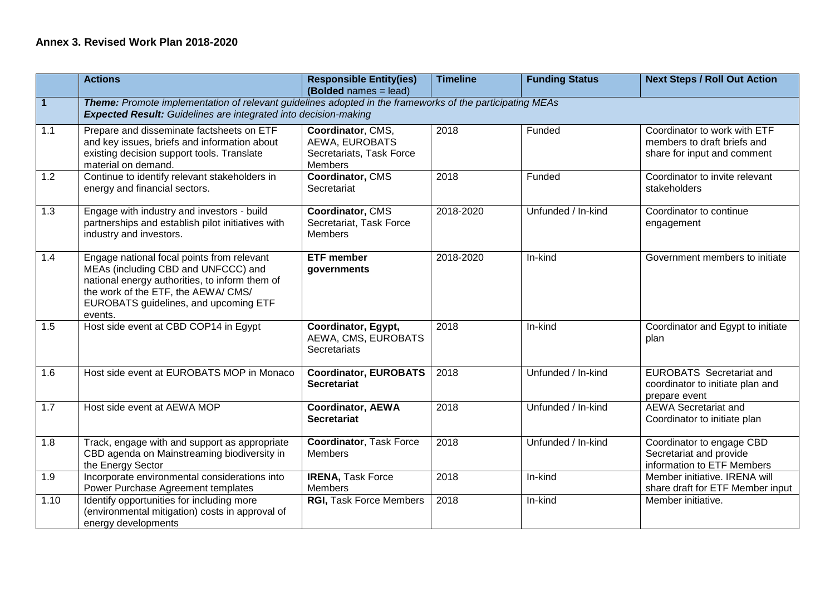# **Annex 3. Revised Work Plan 2018-2020**

|                         | <b>Actions</b>                                                                                                                                                                                                                 | <b>Responsible Entity(ies)</b><br>(Bolded names = lead)                           | <b>Timeline</b> | <b>Funding Status</b> | <b>Next Steps / Roll Out Action</b>                                                        |  |
|-------------------------|--------------------------------------------------------------------------------------------------------------------------------------------------------------------------------------------------------------------------------|-----------------------------------------------------------------------------------|-----------------|-----------------------|--------------------------------------------------------------------------------------------|--|
| $\overline{\mathbf{1}}$ | Theme: Promote implementation of relevant guidelines adopted in the frameworks of the participating MEAs<br><b>Expected Result:</b> Guidelines are integrated into decision-making                                             |                                                                                   |                 |                       |                                                                                            |  |
| 1.1                     | Prepare and disseminate factsheets on ETF<br>and key issues, briefs and information about<br>existing decision support tools. Translate<br>material on demand.                                                                 | Coordinator, CMS,<br>AEWA, EUROBATS<br>Secretariats, Task Force<br><b>Members</b> | 2018            | Funded                | Coordinator to work with ETF<br>members to draft briefs and<br>share for input and comment |  |
| 1.2                     | Continue to identify relevant stakeholders in<br>energy and financial sectors.                                                                                                                                                 | Coordinator, CMS<br>Secretariat                                                   | 2018            | Funded                | Coordinator to invite relevant<br>stakeholders                                             |  |
| 1.3                     | Engage with industry and investors - build<br>partnerships and establish pilot initiatives with<br>industry and investors.                                                                                                     | Coordinator, CMS<br>Secretariat, Task Force<br><b>Members</b>                     | 2018-2020       | Unfunded / In-kind    | Coordinator to continue<br>engagement                                                      |  |
| 1.4                     | Engage national focal points from relevant<br>MEAs (including CBD and UNFCCC) and<br>national energy authorities, to inform them of<br>the work of the ETF, the AEWA/ CMS/<br>EUROBATS guidelines, and upcoming ETF<br>events. | <b>ETF</b> member<br>governments                                                  | 2018-2020       | In-kind               | Government members to initiate                                                             |  |
| 1.5                     | Host side event at CBD COP14 in Egypt                                                                                                                                                                                          | Coordinator, Egypt,<br>AEWA, CMS, EUROBATS<br>Secretariats                        | 2018            | In-kind               | Coordinator and Egypt to initiate<br>plan                                                  |  |
| 1.6                     | Host side event at EUROBATS MOP in Monaco                                                                                                                                                                                      | <b>Coordinator, EUROBATS</b><br><b>Secretariat</b>                                | 2018            | Unfunded / In-kind    | <b>EUROBATS</b> Secretariat and<br>coordinator to initiate plan and<br>prepare event       |  |
| 1.7                     | Host side event at AEWA MOP                                                                                                                                                                                                    | <b>Coordinator, AEWA</b><br><b>Secretariat</b>                                    | 2018            | Unfunded / In-kind    | <b>AEWA</b> Secretariat and<br>Coordinator to initiate plan                                |  |
| 1.8                     | Track, engage with and support as appropriate<br>CBD agenda on Mainstreaming biodiversity in<br>the Energy Sector                                                                                                              | <b>Coordinator, Task Force</b><br><b>Members</b>                                  | 2018            | Unfunded / In-kind    | Coordinator to engage CBD<br>Secretariat and provide<br>information to ETF Members         |  |
| 1.9                     | Incorporate environmental considerations into<br>Power Purchase Agreement templates                                                                                                                                            | <b>IRENA, Task Force</b><br><b>Members</b>                                        | 2018            | In-kind               | Member initiative. IRENA will<br>share draft for ETF Member input                          |  |
| 1.10                    | Identify opportunities for including more<br>(environmental mitigation) costs in approval of<br>energy developments                                                                                                            | <b>RGI, Task Force Members</b>                                                    | 2018            | In-kind               | Member initiative.                                                                         |  |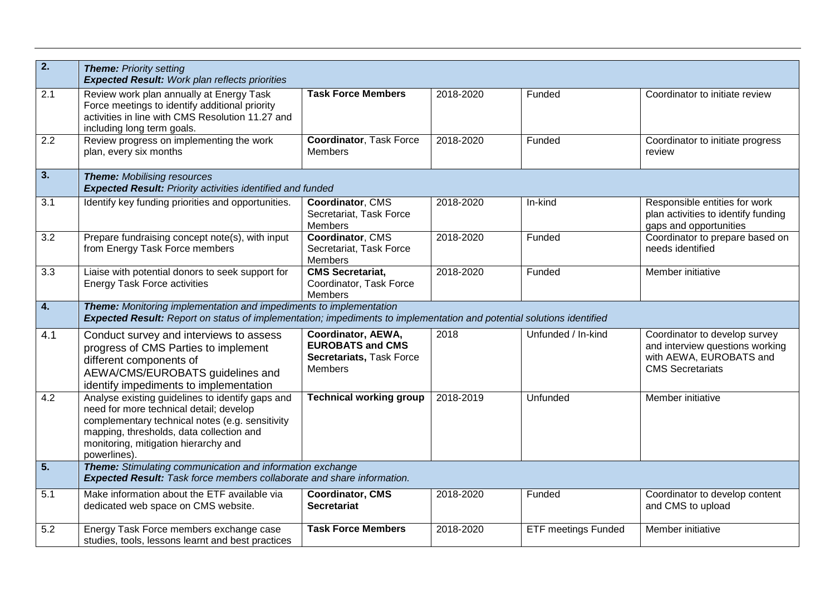| $\overline{2}$ .          | <b>Theme: Priority setting</b><br><b>Expected Result: Work plan reflects priorities</b>                                                                                                                                                            |                                                                                      |           |                            |                                                                                                                        |
|---------------------------|----------------------------------------------------------------------------------------------------------------------------------------------------------------------------------------------------------------------------------------------------|--------------------------------------------------------------------------------------|-----------|----------------------------|------------------------------------------------------------------------------------------------------------------------|
| 2.1                       | Review work plan annually at Energy Task<br>Force meetings to identify additional priority<br>activities in line with CMS Resolution 11.27 and<br>including long term goals.                                                                       | <b>Task Force Members</b>                                                            | 2018-2020 | Funded                     | Coordinator to initiate review                                                                                         |
| 2.2                       | Review progress on implementing the work<br>plan, every six months                                                                                                                                                                                 | <b>Coordinator, Task Force</b><br><b>Members</b>                                     | 2018-2020 | Funded                     | Coordinator to initiate progress<br>review                                                                             |
| $\overline{\mathbf{3}}$ . | <b>Theme: Mobilising resources</b><br><b>Expected Result: Priority activities identified and funded</b>                                                                                                                                            |                                                                                      |           |                            |                                                                                                                        |
| 3.1                       | Identify key funding priorities and opportunities.                                                                                                                                                                                                 | Coordinator, CMS<br>Secretariat, Task Force<br>Members                               | 2018-2020 | In-kind                    | Responsible entities for work<br>plan activities to identify funding<br>gaps and opportunities                         |
| $\overline{3.2}$          | Prepare fundraising concept note(s), with input<br>from Energy Task Force members                                                                                                                                                                  | Coordinator, CMS<br>Secretariat, Task Force<br>Members                               | 2018-2020 | Funded                     | Coordinator to prepare based on<br>needs identified                                                                    |
| 3.3                       | Liaise with potential donors to seek support for<br><b>Energy Task Force activities</b>                                                                                                                                                            | <b>CMS</b> Secretariat,<br>Coordinator, Task Force<br><b>Members</b>                 | 2018-2020 | Funded                     | Member initiative                                                                                                      |
| $\overline{\mathbf{4}}$   | <b>Theme:</b> Monitoring implementation and impediments to implementation<br>Expected Result: Report on status of implementation; impediments to implementation and potential solutions identified                                                 |                                                                                      |           |                            |                                                                                                                        |
| 4.1                       | Conduct survey and interviews to assess<br>progress of CMS Parties to implement<br>different components of<br>AEWA/CMS/EUROBATS guidelines and<br>identify impediments to implementation                                                           | Coordinator, AEWA,<br><b>EUROBATS and CMS</b><br>Secretariats, Task Force<br>Members | 2018      | Unfunded / In-kind         | Coordinator to develop survey<br>and interview questions working<br>with AEWA, EUROBATS and<br><b>CMS Secretariats</b> |
| 4.2                       | Analyse existing guidelines to identify gaps and<br>need for more technical detail; develop<br>complementary technical notes (e.g. sensitivity<br>mapping, thresholds, data collection and<br>monitoring, mitigation hierarchy and<br>powerlines). | <b>Technical working group</b>                                                       | 2018-2019 | Unfunded                   | Member initiative                                                                                                      |
| 5.                        | Theme: Stimulating communication and information exchange<br><b>Expected Result:</b> Task force members collaborate and share information.                                                                                                         |                                                                                      |           |                            |                                                                                                                        |
| 5.1                       | Make information about the ETF available via<br>dedicated web space on CMS website.                                                                                                                                                                | <b>Coordinator, CMS</b><br><b>Secretariat</b>                                        | 2018-2020 | Funded                     | Coordinator to develop content<br>and CMS to upload                                                                    |
| $\overline{5.2}$          | Energy Task Force members exchange case<br>studies, tools, lessons learnt and best practices                                                                                                                                                       | <b>Task Force Members</b>                                                            | 2018-2020 | <b>ETF meetings Funded</b> | Member initiative                                                                                                      |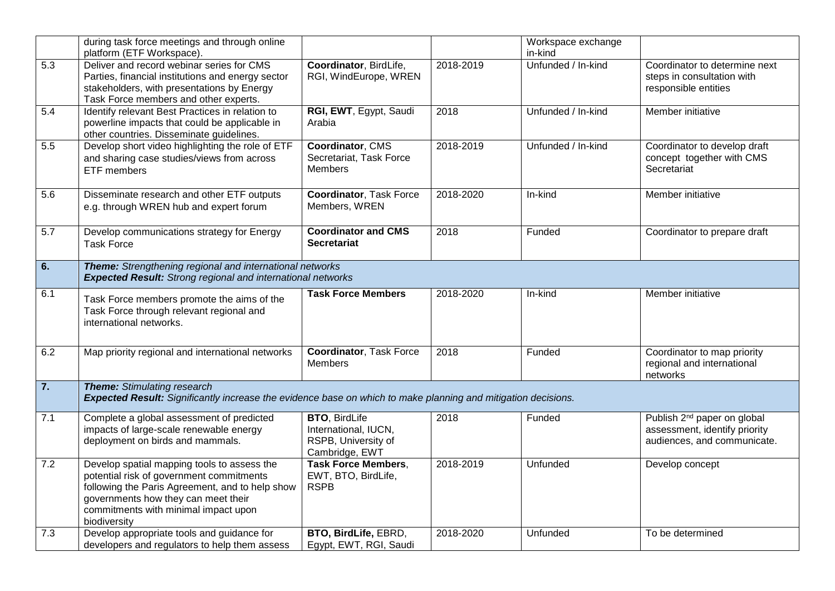|                  | during task force meetings and through online<br>platform (ETF Workspace).                                                                                                                                                                |                                                                                       |           | Workspace exchange<br>in-kind |                                                                                                         |  |
|------------------|-------------------------------------------------------------------------------------------------------------------------------------------------------------------------------------------------------------------------------------------|---------------------------------------------------------------------------------------|-----------|-------------------------------|---------------------------------------------------------------------------------------------------------|--|
| 5.3              | Deliver and record webinar series for CMS<br>Parties, financial institutions and energy sector<br>stakeholders, with presentations by Energy<br>Task Force members and other experts.                                                     | Coordinator, BirdLife,<br>RGI, WindEurope, WREN                                       | 2018-2019 | Unfunded / In-kind            | Coordinator to determine next<br>steps in consultation with<br>responsible entities                     |  |
| 5.4              | Identify relevant Best Practices in relation to<br>powerline impacts that could be applicable in<br>other countries. Disseminate guidelines.                                                                                              | RGI, EWT, Egypt, Saudi<br>Arabia                                                      | 2018      | Unfunded / In-kind            | Member initiative                                                                                       |  |
| 5.5              | Develop short video highlighting the role of ETF<br>and sharing case studies/views from across<br>ETF members                                                                                                                             | Coordinator, CMS<br>Secretariat, Task Force<br>Members                                | 2018-2019 | Unfunded / In-kind            | Coordinator to develop draft<br>concept together with CMS<br>Secretariat                                |  |
| 5.6              | Disseminate research and other ETF outputs<br>e.g. through WREN hub and expert forum                                                                                                                                                      | <b>Coordinator, Task Force</b><br>Members, WREN                                       | 2018-2020 | In-kind                       | Member initiative                                                                                       |  |
| 5.7              | Develop communications strategy for Energy<br><b>Task Force</b>                                                                                                                                                                           | <b>Coordinator and CMS</b><br><b>Secretariat</b>                                      | 2018      | Funded                        | Coordinator to prepare draft                                                                            |  |
| 6.               | <b>Theme:</b> Strengthening regional and international networks<br><b>Expected Result:</b> Strong regional and international networks                                                                                                     |                                                                                       |           |                               |                                                                                                         |  |
| 6.1              | Task Force members promote the aims of the<br>Task Force through relevant regional and<br>international networks.                                                                                                                         | <b>Task Force Members</b>                                                             | 2018-2020 | In-kind                       | Member initiative                                                                                       |  |
| 6.2              | Map priority regional and international networks                                                                                                                                                                                          | <b>Coordinator, Task Force</b><br><b>Members</b>                                      | 2018      | Funded                        | Coordinator to map priority<br>regional and international<br>networks                                   |  |
| $\overline{7}$ . | <b>Theme:</b> Stimulating research<br>Expected Result: Significantly increase the evidence base on which to make planning and mitigation decisions.                                                                                       |                                                                                       |           |                               |                                                                                                         |  |
| 7.1              | Complete a global assessment of predicted<br>impacts of large-scale renewable energy<br>deployment on birds and mammals.                                                                                                                  | <b>BTO, BirdLife</b><br>International, IUCN,<br>RSPB, University of<br>Cambridge, EWT | 2018      | Funded                        | Publish 2 <sup>nd</sup> paper on global<br>assessment, identify priority<br>audiences, and communicate. |  |
| 7.2              | Develop spatial mapping tools to assess the<br>potential risk of government commitments<br>following the Paris Agreement, and to help show<br>governments how they can meet their<br>commitments with minimal impact upon<br>biodiversity | <b>Task Force Members,</b><br>EWT, BTO, BirdLife,<br><b>RSPB</b>                      | 2018-2019 | Unfunded                      | Develop concept                                                                                         |  |
| 7.3              | Develop appropriate tools and guidance for<br>developers and regulators to help them assess                                                                                                                                               | BTO, BirdLife, EBRD,<br>Egypt, EWT, RGI, Saudi                                        | 2018-2020 | Unfunded                      | To be determined                                                                                        |  |